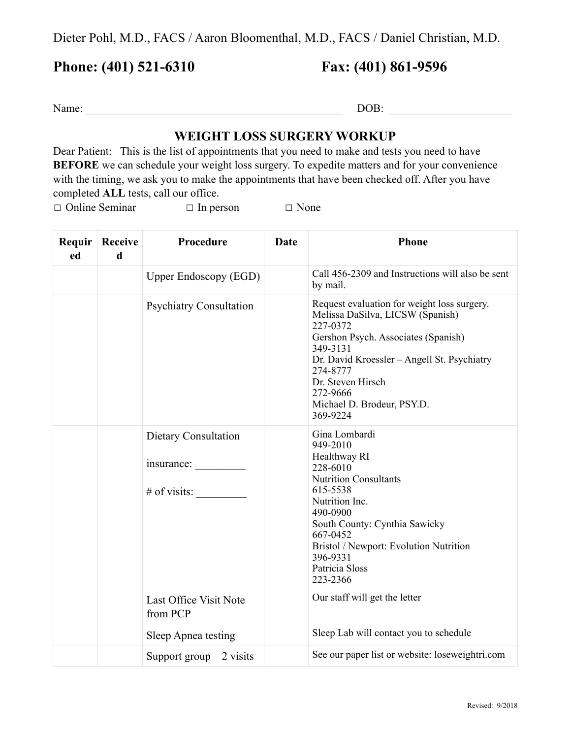Dieter Pohl, M.D., FACS / Aaron Bloomenthal, M.D., FACS / Daniel Christian, M.D.

## **Phone: (401) 521-6310 Fax: (401) 861-9596**

Name: \_\_\_\_\_\_\_\_\_\_\_\_\_\_\_\_\_\_\_\_\_\_\_\_\_\_\_\_\_\_\_\_\_\_\_\_\_\_\_\_\_\_\_\_\_\_ DOB: \_\_\_\_\_\_\_\_\_\_\_\_\_\_\_\_\_\_\_\_\_\_

## **WEIGHT LOSS SURGERY WORKUP**

Dear Patient: This is the list of appointments that you need to make and tests you need to have **BEFORE** we can schedule your weight loss surgery. To expedite matters and for your convenience with the timing, we ask you to make the appointments that have been checked off. After you have completed **ALL** tests, call our office.

☐ Online Seminar ☐ In person ☐ None

| ed | <b>Requir Receive</b><br>d | Procedure                                            | Date | <b>Phone</b>                                                                                                                                                                                                                                                                         |
|----|----------------------------|------------------------------------------------------|------|--------------------------------------------------------------------------------------------------------------------------------------------------------------------------------------------------------------------------------------------------------------------------------------|
|    |                            | <b>Upper Endoscopy (EGD)</b>                         |      | Call 456-2309 and Instructions will also be sent<br>by mail.                                                                                                                                                                                                                         |
|    |                            | <b>Psychiatry Consultation</b>                       |      | Request evaluation for weight loss surgery.<br>Melissa DaSilva, LICSW (Spanish)<br>227-0372<br>Gershon Psych. Associates (Spanish)<br>349-3131<br>Dr. David Kroessler - Angell St. Psychiatry<br>274-8777<br>Dr. Steven Hirsch<br>272-9666<br>Michael D. Brodeur, PSY.D.<br>369-9224 |
|    |                            | Dietary Consultation<br>insurance:<br>$#$ of visits: |      | Gina Lombardi<br>949-2010<br>Healthway RI<br>228-6010<br><b>Nutrition Consultants</b><br>615-5538<br>Nutrition Inc.<br>490-0900<br>South County: Cynthia Sawicky<br>667-0452<br>Bristol / Newport: Evolution Nutrition<br>396-9331<br>Patricia Sloss<br>223-2366                     |
|    |                            | Last Office Visit Note<br>from PCP                   |      | Our staff will get the letter                                                                                                                                                                                                                                                        |
|    |                            | Sleep Apnea testing                                  |      | Sleep Lab will contact you to schedule                                                                                                                                                                                                                                               |
|    |                            | Support group $-2$ visits                            |      | See our paper list or website: loseweightri.com                                                                                                                                                                                                                                      |